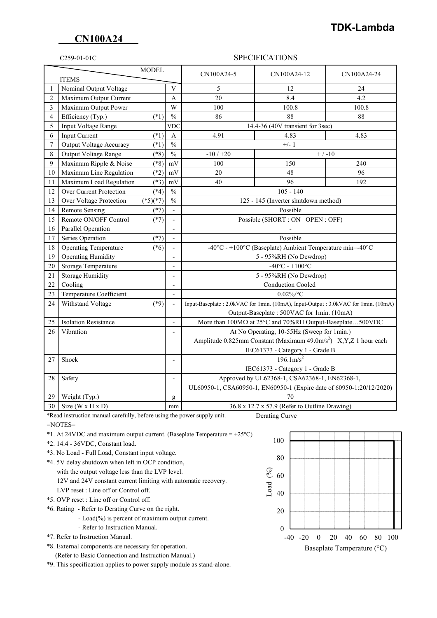### **CN100A24**

# **TDK-Lambda**

### C259-01-01C SPECIFICATIONS

| <b>MODEL</b><br><b>ITEMS</b> |                              |                                                                      | CN100A24-5     | CN100A24-12                                                                       | CN100A24-24 |       |
|------------------------------|------------------------------|----------------------------------------------------------------------|----------------|-----------------------------------------------------------------------------------|-------------|-------|
| 1                            | Nominal Output Voltage       |                                                                      | V              | 5                                                                                 | 12          | 24    |
| $\overline{2}$               | Maximum Output Current       |                                                                      | A              | 20                                                                                | 8.4         | 4.2   |
| 3                            | Maximum Output Power         |                                                                      | W              | 100                                                                               | 100.8       | 100.8 |
| 4                            | Efficiency (Typ.)            | $(*1)$                                                               | $\frac{0}{0}$  | 86                                                                                | 88          | 88    |
| 5                            | Input Voltage Range          |                                                                      | <b>VDC</b>     | 14.4-36 (40V transient for 3sec)                                                  |             |       |
| 6                            | Input Current                | $(*1)$                                                               | A              | 4.91                                                                              | 4.83        | 4.83  |
| 7                            | Output Voltage Accuracy      | $(*1)$                                                               | $\frac{0}{0}$  | $+/- 1$                                                                           |             |       |
| 8                            | Output Voltage Range         | $(*8)$                                                               | $\frac{0}{0}$  | $-10/+20$<br>$+ / -10$                                                            |             |       |
| 9                            | Maximum Ripple & Noise       | $(*8)$                                                               | mV             | 100                                                                               | 150         | 240   |
| 10                           | Maximum Line Regulation      | $(*2)$                                                               | mV             | 20                                                                                | 48          | 96    |
| 11                           | Maximum Load Regulation      | $(*3)$                                                               | $\mathrm{mV}$  | 40                                                                                | 96          | 192   |
| 12                           | Over Current Protection      | $(*4)$                                                               | $\%$           | $105 - 140$                                                                       |             |       |
| 13                           | Over Voltage Protection      | $(*5)(*7)$                                                           | $\frac{0}{0}$  | 125 - 145 (Inverter shutdown method)                                              |             |       |
| 14                           | <b>Remote Sensing</b>        | $(*7)$                                                               | ÷,             | Possible                                                                          |             |       |
| 15                           | Remote ON/OFF Control        | $(*7)$                                                               | $\overline{a}$ | Possible (SHORT : ON OPEN : OFF)                                                  |             |       |
| 16                           | Parallel Operation           |                                                                      | $\overline{a}$ |                                                                                   |             |       |
| 17                           | Series Operation             | $(*7)$                                                               | $\overline{a}$ | Possible                                                                          |             |       |
| 18                           | <b>Operating Temperature</b> | $(*6)$                                                               | $\overline{a}$ | -40°C - +100°C (Baseplate) Ambient Temperature min=-40°C                          |             |       |
| 19                           | <b>Operating Humidity</b>    |                                                                      | $\overline{a}$ | 5 - 95%RH (No Dewdrop)                                                            |             |       |
| 20                           | <b>Storage Temperature</b>   |                                                                      | Ĭ.             | $-40^{\circ}$ C - $+100^{\circ}$ C                                                |             |       |
| 21                           | <b>Storage Humidity</b>      |                                                                      | L,             | 5 - 95%RH (No Dewdrop)                                                            |             |       |
| 22                           | Cooling                      |                                                                      | Ĭ.             | <b>Conduction Cooled</b>                                                          |             |       |
| 23                           | Temperature Coefficient      |                                                                      |                | $0.02\%$ /°C                                                                      |             |       |
| 24                           | Withstand Voltage            | $(*9)$                                                               | Ĭ.             | Input-Baseplate: 2.0kVAC for 1min. (10mA), Input-Output: 3.0kVAC for 1min. (10mA) |             |       |
|                              |                              |                                                                      |                | Output-Baseplate: 500VAC for 1min. (10mA)                                         |             |       |
| 25                           | <b>Isolation Resistance</b>  |                                                                      | $\overline{a}$ | More than 100MΩ at 25°C and 70%RH Output-Baseplate500VDC                          |             |       |
| 26                           | Vibration                    |                                                                      |                | At No Operating, 10-55Hz (Sweep for 1min.)                                        |             |       |
|                              |                              |                                                                      |                | Amplitude 0.825mm Constant (Maximum 49.0m/s <sup>2</sup> ) X, Y, Z 1 hour each    |             |       |
|                              |                              |                                                                      |                | IEC61373 - Category 1 - Grade B                                                   |             |       |
| 27                           | Shock                        |                                                                      | $\overline{a}$ | $196.1 \text{m/s}^2$                                                              |             |       |
|                              |                              |                                                                      |                | IEC61373 - Category 1 - Grade B                                                   |             |       |
| 28                           | Safety                       |                                                                      | $\overline{a}$ | Approved by UL62368-1, CSA62368-1, EN62368-1,                                     |             |       |
|                              |                              | UL60950-1, CSA60950-1, EN60950-1 (Expire date of 60950-1:20/12/2020) |                |                                                                                   |             |       |
| 29                           | Weight (Typ.)                |                                                                      | g              | 70                                                                                |             |       |
| 30                           | Size (W x H x D)             |                                                                      | mm             | 36.8 x 12.7 x 57.9 (Refer to Outline Drawing)                                     |             |       |

 \*Read instruction manual carefully, before using the power supply unit. Derating Curve =NOTES=

- \*1. At 24VDC and maximum output current. (Baseplate Temperature =  $+25^{\circ}$ C)
- \*2. 14.4 36VDC, Constant load.
- \*3. No Load Full Load, Constant input voltage.
- \*4. 5V delay shutdown when left in OCP condition,
	- with the output voltage less than the LVP level. 12V and 24V constant current limiting with automatic recovery.
- LVP reset : Line off or Control off.
- \*5. OVP reset : Line off or Control off.

\*6. Rating - Refer to Derating Curve on the right.

- Load(%) is percent of maximum output current.
- Refer to Instruction Manual.
- \*7. Refer to Instruction Manual.
- \*8. External components are necessary for operation.

(Refer to Basic Connection and Instruction Manual.)

\*9. This specification applies to power supply module as stand-alone.